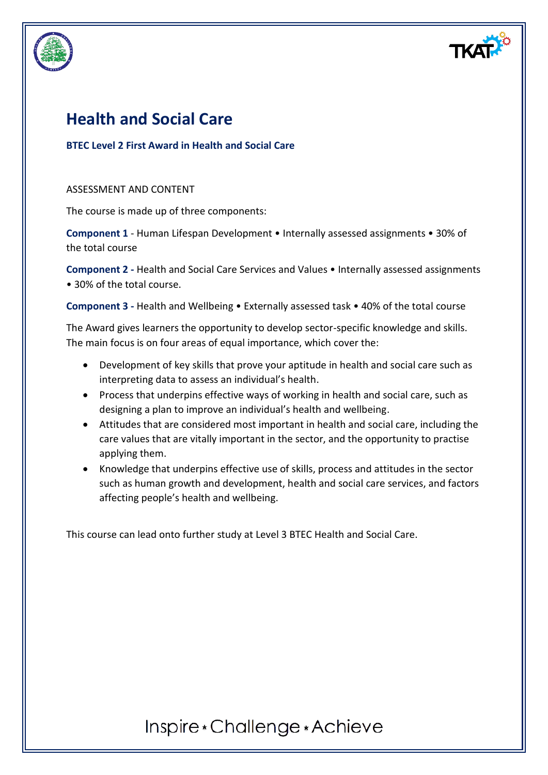

# **Health and Social Care**

### **BTEC Level 2 First Award in Health and Social Care**

#### ASSESSMENT AND CONTENT

The course is made up of three components:

**Component 1** - Human Lifespan Development • Internally assessed assignments • 30% of the total course

**Component 2 -** Health and Social Care Services and Values • Internally assessed assignments • 30% of the total course.

**Component 3 -** Health and Wellbeing • Externally assessed task • 40% of the total course

The Award gives learners the opportunity to develop sector-specific knowledge and skills. The main focus is on four areas of equal importance, which cover the:

- Development of key skills that prove your aptitude in health and social care such as interpreting data to assess an individual's health.
- Process that underpins effective ways of working in health and social care, such as designing a plan to improve an individual's health and wellbeing.
- Attitudes that are considered most important in health and social care, including the care values that are vitally important in the sector, and the opportunity to practise applying them.
- Knowledge that underpins effective use of skills, process and attitudes in the sector such as human growth and development, health and social care services, and factors affecting people's health and wellbeing.

This course can lead onto further study at Level 3 BTEC Health and Social Care.

# Inspire \* Challenge \* Achieve